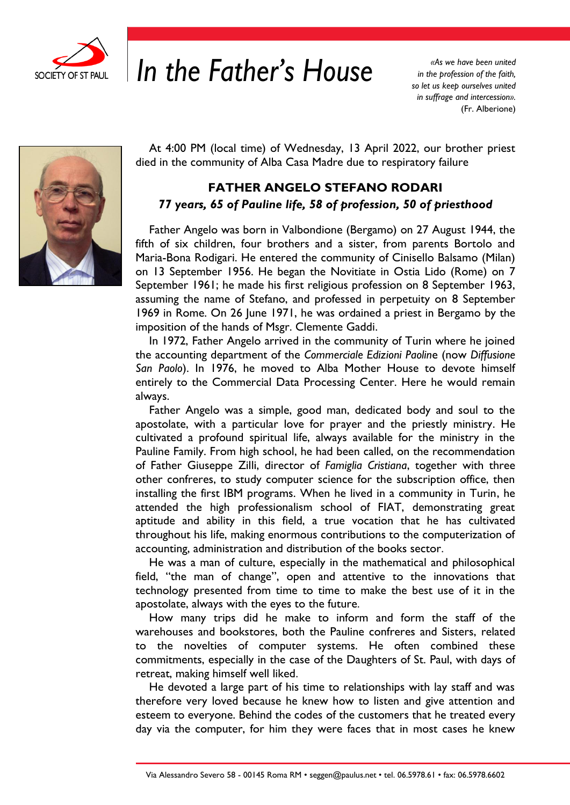

## *In the Father's House in the profession of the faith*,

*in the profession of the faith, so let us keep ourselves united in suffrage and intercession».* (Fr. Alberione)



At 4:00 PM (local time) of Wednesday, 13 April 2022, our brother priest died in the community of Alba Casa Madre due to respiratory failure

## **FATHER ANGELO STEFANO RODARI**  *77 years, 65 of Pauline life, 58 of profession, 50 of priesthood*

Father Angelo was born in Valbondione (Bergamo) on 27 August 1944, the fifth of six children, four brothers and a sister, from parents Bortolo and Maria-Bona Rodigari. He entered the community of Cinisello Balsamo (Milan) on 13 September 1956. He began the Novitiate in Ostia Lido (Rome) on 7 September 1961; he made his first religious profession on 8 September 1963, assuming the name of Stefano, and professed in perpetuity on 8 September 1969 in Rome. On 26 June 1971, he was ordained a priest in Bergamo by the imposition of the hands of Msgr. Clemente Gaddi.

In 1972, Father Angelo arrived in the community of Turin where he joined the accounting department of the *Commerciale Edizioni Paolin*e (now *Diffusione San Paolo*). In 1976, he moved to Alba Mother House to devote himself entirely to the Commercial Data Processing Center. Here he would remain always.

Father Angelo was a simple, good man, dedicated body and soul to the apostolate, with a particular love for prayer and the priestly ministry. He cultivated a profound spiritual life, always available for the ministry in the Pauline Family. From high school, he had been called, on the recommendation of Father Giuseppe Zilli, director of *Famiglia Cristiana*, together with three other confreres, to study computer science for the subscription office, then installing the first IBM programs. When he lived in a community in Turin, he attended the high professionalism school of FIAT, demonstrating great aptitude and ability in this field, a true vocation that he has cultivated throughout his life, making enormous contributions to the computerization of accounting, administration and distribution of the books sector.

He was a man of culture, especially in the mathematical and philosophical field, "the man of change", open and attentive to the innovations that technology presented from time to time to make the best use of it in the apostolate, always with the eyes to the future.

How many trips did he make to inform and form the staff of the warehouses and bookstores, both the Pauline confreres and Sisters, related to the novelties of computer systems. He often combined these commitments, especially in the case of the Daughters of St. Paul, with days of retreat, making himself well liked.

He devoted a large part of his time to relationships with lay staff and was therefore very loved because he knew how to listen and give attention and esteem to everyone. Behind the codes of the customers that he treated every day via the computer, for him they were faces that in most cases he knew

Via Alessandro Severo 58 - 00145 Roma RM • seggen@paulus.net • tel. 06.5978.61 • fax: 06.5978.6602